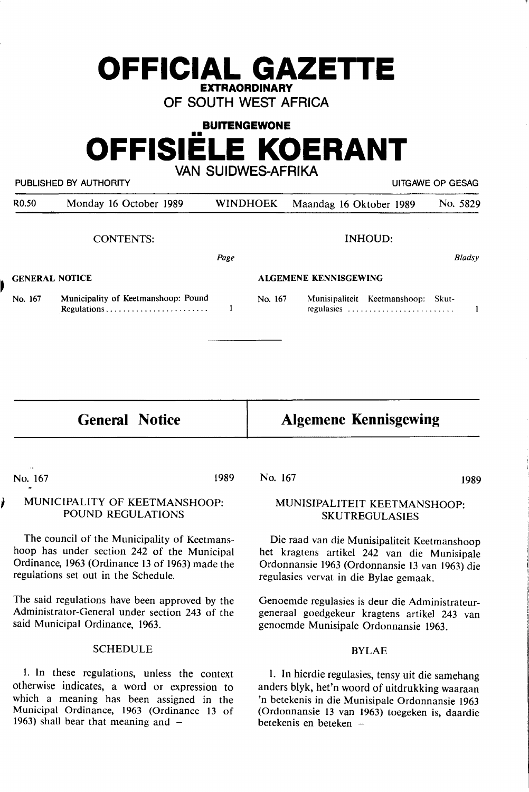# **OF SOUTH WEST AFRICA BUITENGEWONE OFFISIELE KOERANT VAN SUIDWES-AFRIKA**

**OFFICIAL GAZETTE EXTRAORDINARY** 

|                       | PUBLISHED BY AUTHORITY<br>UITGAWE OP GESAG                                                                                                                                             |                 |                                                                                                                                                                                         |                                                  |  |               |
|-----------------------|----------------------------------------------------------------------------------------------------------------------------------------------------------------------------------------|-----------------|-----------------------------------------------------------------------------------------------------------------------------------------------------------------------------------------|--------------------------------------------------|--|---------------|
| R <sub>0.50</sub>     | Monday 16 October 1989                                                                                                                                                                 | <b>WINDHOEK</b> | Maandag 16 Oktober 1989                                                                                                                                                                 |                                                  |  | No. 5829      |
|                       | <b>CONTENTS:</b>                                                                                                                                                                       |                 |                                                                                                                                                                                         | <b>INHOUD:</b>                                   |  |               |
|                       |                                                                                                                                                                                        | Page            |                                                                                                                                                                                         |                                                  |  | <b>Bladsy</b> |
| <b>GENERAL NOTICE</b> |                                                                                                                                                                                        |                 | <b>ALGEMENE KENNISGEWING</b>                                                                                                                                                            |                                                  |  |               |
| No. 167               | Municipality of Keetmanshoop: Pound                                                                                                                                                    | No. 167<br>1    |                                                                                                                                                                                         | Munisipaliteit Keetmanshoop: Skut-<br>regulasies |  | $\mathbf{1}$  |
|                       |                                                                                                                                                                                        |                 |                                                                                                                                                                                         |                                                  |  |               |
|                       | <b>General Notice</b>                                                                                                                                                                  |                 | <b>Algemene Kennisgewing</b>                                                                                                                                                            |                                                  |  |               |
|                       |                                                                                                                                                                                        | 1989<br>No. 167 |                                                                                                                                                                                         |                                                  |  |               |
| No. 167               | MUNICIPALITY OF KEETMANSHOOP:<br>POUND REGULATIONS                                                                                                                                     |                 | MUNISIPALITEIT KEETMANSHOOP:                                                                                                                                                            | <b>SKUTREGULASIES</b>                            |  | 1989          |
|                       | The council of the Municipality of Keetmans-<br>hoop has under section 242 of the Municipal<br>Ordinance, 1963 (Ordinance 13 of 1963) made the<br>regulations set out in the Schedule. |                 | Die raad van die Munisipaliteit Keetmanshoop<br>het kragtens artikel 242 van die Munisipale<br>Ordonnansie 1963 (Ordonnansie 13 van 1963) die<br>regulasies vervat in die Bylae gemaak. |                                                  |  |               |
|                       | The said regulations have been approved by the<br>Administrator-General under section 243 of the<br>said Municipal Ordinance, 1963.                                                    |                 | Genoemde regulasies is deur die Administrateur-<br>generaal goedgekeur kragtens artikel 243 van<br>genoemde Munisipale Ordonnansie 1963.                                                |                                                  |  |               |

1963) shall bear that meaning and  $-$ 

1. In these regulations, unless the context otherwise indicates, a word or expression to which a meaning has been assigned in the Municipal Ordinance, 1963 (Ordinance 13 of I. In hierdie regulasies, tensy uit die samehang anders blyk, het'n woord of uitdrukking waaraan 'n betekenis in die Munisipale Ordonnansie 1963 (Ordonnansie **13** van 1963) toegeken is, daardie betekenis **en beteken** -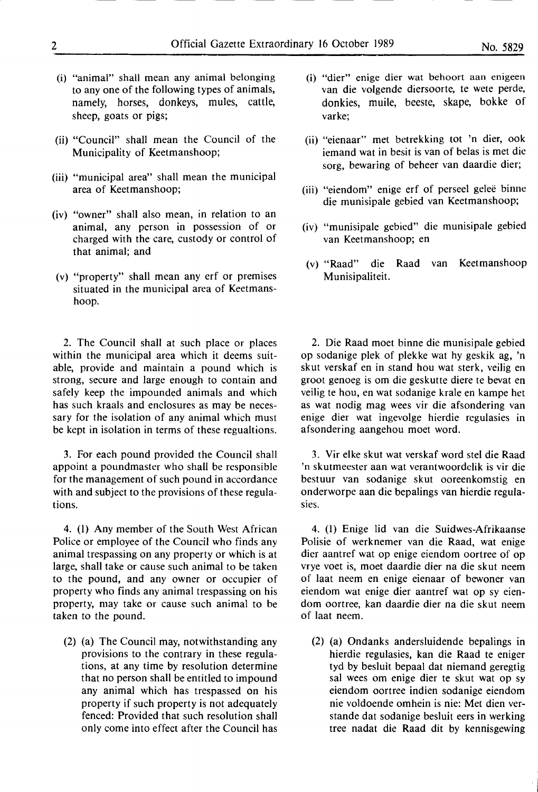- (i) "animal" shall mean any animal belonging to any one of the following types of animals, namely, horses, donkeys, mules, cattle, sheep, goats or pigs;
- (ii) "Council" shall mean the Council of the Municipality of Keetmanshoop;
- (iii) "municipal area" shall mean the municipal area of Keetmanshoop;
- (iv) "owner" shall also mean, in relation to an animal, any person in possession of or charged with the care, custody or control of that animal; and
- (v) "property" shall mean any erf or premises situated in the municipal area of Keetmanshoop.

2. The Council shall at such place or places within the municipal area which it deems suitable, provide and maintain a pound which is strong, secure and large enough to contain and safely keep the impounded animals and which has such kraals and enclosures as may be necessary for the isolation of any animal which must be kept in isolation in terms of these regualtions.

3. For each pound provided the Council shall appoint a poundmaster who shall be responsible for the management of such pound in accordance with and subject to the provisions of these regulations.

4. (I) Any member of the South West African Police or employee of the Council who finds any animal trespassing on any property or which is at large, shall take or cause such animal to be taken to the pound, and any owner or occupier of property who finds any animal trespassing on his property, may take or cause such animal to be taken to the pound.

(2) (a) The Council may, notwithstanding any provisions to the contrary in these regulations, at any time by resolution determine that no person shall be entitled to impound any animal which has trespassed on his property if such property is not adequately fenced: Provided that such resolution shall only come into effect after the Council has

- (i) "dier" enige dier wat behoort aan enigeen van die volgende diersoorte, te wete perde, donkies, muile, beeste, skape, bokke of varke;
- (ii) "eienaar" met betrekking tot 'n dier, ook iemand wat in besit is van of belas is met die sorg, bewaring of beheer van daardie dier;
- (iii) "eiendom" enige erf of perseel gelee binne die munisipale gebied van Keetmanshoop;
- (iv) "munisipale gebied" die munisipale gebied van Keetmanshoop; en
- (v) "Raad" die Raad van Keetmanshoop Munisipaliteit.

2. Die Raad moet binne die munisipale gebied op sodanige plek of plekke wat hy geskik ag, 'n skut verskaf en in stand hou wat sterk, veilig en groot genoeg is om die geskutte diere te bevat en veilig te hou, en wat sodanige krale en kampe het as wat nodig mag wees vir die afsondering van enige dier wat ingevolge hierdie regulasies in afsondering aangehou moet word.

3. Vir elke skut wat verskaf word stel die Raad 'n skutmeester aan wat verantwoordelik is vir die bestuur van sodanige skut ooreenkomstig en onderworpe aan die bepalings van hierdie regulasies.

4. (I) Enige lid van die Suidwes-Afrikaanse Polisie of werknemer van die Raad, wat enige dier aantref wat op enige eiendom oortree of op vrye voet is, moet daardie dier na die skut neem of laat neem en enige eienaar of bewoner van eiendom wat enige dier aantref wat op sy eiendom oortree, kan daardie dier na die skut neem of laat neem.

(2) (a) Ondanks andersluidende bepalings in hierdie regulasies, kan die Raad te eniger tyd by besluit bepaal dat niemand geregtig sal wees om enige dier te skut wat op sy eiendom oortree indien sodanige eiendom nie voldoende omhein is nie: Met dien verstande dat sodanige besluit eers in werking tree nadat die Raad dit by kennisgewing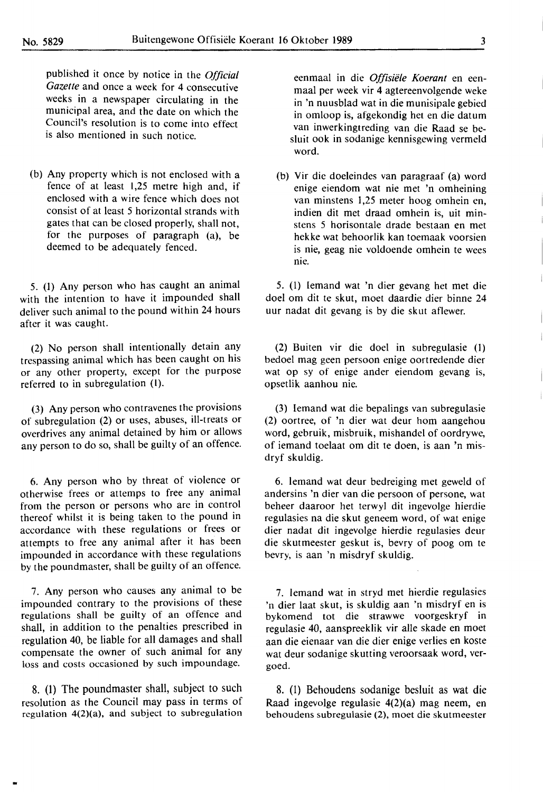published it once by notice in the *Official Gazette* and once a week for 4 consecutive weeks in a newspaper circulating in the municipal area, and the date on which the Council's resolution is to come into effect is also mentioned in such notice.

(b) Any property which is not enclosed with a fence of at least 1,25 metre high and, if enclosed with a wire fence which does not consist of at least *5* horizontal strands with gates that can be closed properly, shall not, **for** the purposes of paragraph **(a),** be deemed to be adequately fenced.

5. (1) Any person who has caught an animal with the intention to have it impounded shall deliver such animal to the pound within 24 hours after it **was** caught.

(2) No person shall intentionally detain any trespassing animal which has been caught on his or any other property, except for the purpose referred to in subregulation (I).

(3) Any person who contravenes the provisions of subregulation (2) or uses, abuses, ill-treats or overdrives any animal detained by him or allows any person to do so, shall be guilty of an offence.

6. Any person who by threat of violence or otherwise frees or attemps to free any animal from the person or persons who are in control thereof whilst it is being taken to the pound in accordance with these regulations or frees or attempts to free any animal after it has been impounded in accordance with these regulations by the poundmaster, shall be guilty of an offence.

7. Any person who causes any animal to be impounded contrary to the provisions of these regulations shall be guilty of an offence and shall, in addition to the penalties prescribed in regulation 40, be liable for all damages and shall compensate the owner of such animal for any loss and costs occasioned by such impoundage.

8. (1) The poundmaster shall, subject to such resolution as the Council may pass in terms of regulation 4(2)(a), and subject to subregulation

eenmaal in die *Offisiele Koerant* en eenmaal per week vir 4 agtereenvolgende weke in 'n nuusblad wat in die munisipale gebied in omloop is, afgekondig het en die datum van inwerkingtreding van die Raad se besluit ook in sodanige kennisgewing vermeld word.

(b) Vir die doeleindes van paragraaf (a) word enige eiendom wat nie met 'n omheining van minstens 1,25 meter hoog omhein en, indien dit met draad omhein is, uit minstens 5 horisontale drade bestaan en met hekke wat behoorlik kan toemaak voorsien is nie, geag nie voldoende omhein te wees nie.

5. (l) Iemand wat 'n dier gevang het met die doel om dit te skut, moet daardie dier binne 24 uur nadat dit gevang is by die skut aflewer.

(2) Buiten vir die doel in subregulasie (1) bedoel mag geen persoon enige oortredende dier wat op sy of enige ander eiendom gevang is, opsetlik aanhou nie.

(3) lemand wat die bepalings van subregulasie (2) oortree, of 'n dier wat deur hom aangehou word, gebruik, misbruik, mishandel of oordrywe, of iemand toelaat om dit te doen, is aan 'n misdryf skuldig.

6. lemand wat deur bedreiging met geweld of andersins 'n dier van die persoon of persone, wat beheer daaroor het terwyl dit ingevolge hierdie regulasies na die skut geneem word, of wat enige dier nadat dit ingevolge hierdie regulasies deur die skutmeester geskut is, bevry of poog om te bevry, is aan 'n misdryf skuldig.

7. lemand wat in stryd met hierdie regulasies 'n dier laat skut, is skuldig aan 'n misdryf en is bykomend **tot** die strawwe voorgeskryf in regulasie 40, aanspreeklik vir alle skade en moet aan die eienaar van die dier enige verlies en koste wat deur sodanige skutting veroorsaak word, vergoed.

8. (1) Behoudens sodanige besluit as wat die Raad ingevolge regulasie 4(2)(a) mag neem, en behoudens subregulasie (2), moet die skutmeester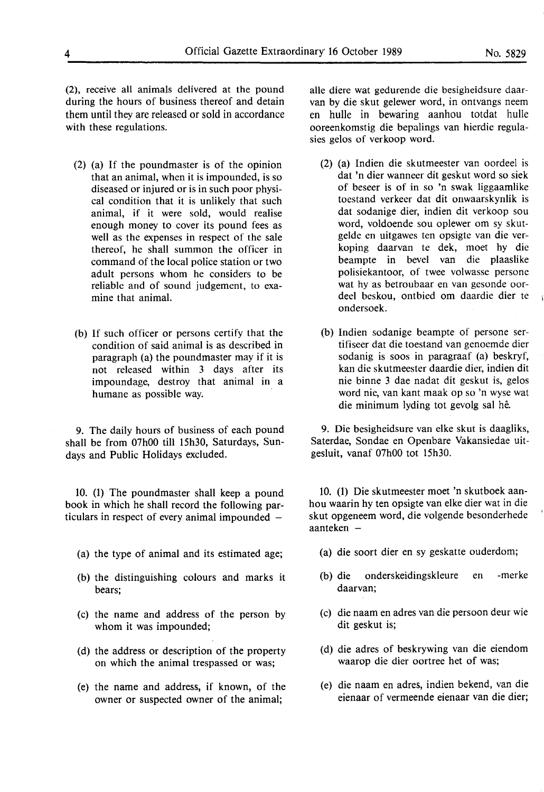(2), receive all animals delivered at the pound during the hours of business thereof and detain them until they are released or sold in accordance with these regulations.

- (2) (a) If the poundmaster is of the opinion that an animal, when it is impounded, is so diseased or injured or is in such poor physical condition that it is unlikely that such animal, if it were sold, would realise enough money to cover its pound fees as well as the expenses in respect of the sale thereof, he shall summon the officer in command of the local police station or two adult persons whom he considers to be reliable and of sound judgement, to examine that animal.
- (b) If such officer **or** persons certify that **the**  condition of **said** animal **is as** described **in**  paragraph (a) the poundmaster may if it is not released within 3 days after its impoundage, destroy that animal **in a**  humane as possible way.

9. The daily hours of business of each pound shall be from 07h00 till 15h30, Saturdays, Sundays and Public Holidays excluded.

10. (1) The poundmaster shall keep a pound book in which he shall record the following particulars in respect of every animal impounded  $-$ 

- (a) the type of animal and its estimated age;
- (b) the distinguishing colours and marks it bears;
- (c) the **name** and address of the person by whom it was impounded;
- (d) the address or description of the property on which the animal trespassed or was;
- (e) the name and address, if known, of the owner or suspected owner of the animal;

alle diere wat gedurende die besigheidsure daarvan by die skut gelewer word, in ontvangs neem en hulle in bewaring aanhou totdat hulle ooreenkomstig die bepalings van hierdie regulasies gelos of verkoop word.

- (2) (a) lndien die skutmeester van oordeel is dat 'n dier wanneer dit geskut word so siek of beseer is of in so 'n swak liggaamlike toestand verkeer dat dit onwaarskynlik is dat sodanige dier, indien dit verkoop sou word, voldoende sou oplewer om sy skutgelde en uitgawes ten opsigte van die verkoping daarvan te dek, moet by die beampte in bevel van die plaaslike polisiekantoor, of twee volwasse persone wat hy as betroubaar en van gesonde oordeel beskou, ontbied om daardie dier te ondersoek.
- (b) Indien sodanige beampte of persone sertifiseer dat die toestand van genoemde dier sodanig is soos in paragraaf (a) beskryf, kan die skutmeester daardie dier, indien dit nie binne 3 dae nadat dit geskut is, gelos word nie, van kant maak op so 'n wyse wat die minimum lyding tot gevolg sal he.

9. Die besigheidsure van elke skut is daagliks, Saterdae, Sondae en Openbare Vakansiedae uitgesluit, vanaf 07h00 tot 15h30.

10. (1) Die skutmeester moet 'n skutboek aanhou waarin hy ten opsigte van elke dier wat in die skut opgeneem word, die volgende besonderhede aanteken  $-$ 

- (a) die soort dier en sy geskatte ouderdom;
- (b) die onderskeidingskleure en -merke daarvan;
- ( c) die naam en adres van die persoon deur wie dit geskut is;
- (d) die adres of beskrywing van die eiendom waarop die dier oortree het of was;
- ( e) die naam en adres, indien bekend, van die eienaar of vermeende eienaar van die dier;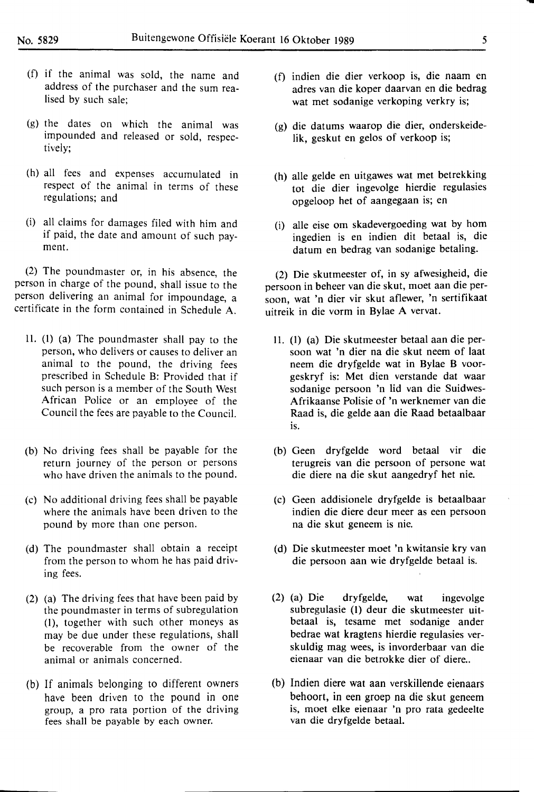- (f) if the animal was sold, the name and address of the purchaser and the sum realised by such sale;
- (g) the dates on which the animal was impounded and released or sold, respectively;
- (h) all fees and expenses accumulated in respect of the animal in terms of these regulations; and
- (i) all claims for damages filed with him and if paid, the date and amount of such payment.

(2) The poundmaster or, in his absence, the person in charge of the pound, shall issue to the person delivering an animal for impoundage, a certificate in the form contained in Schedule A.

- ll. (l) (a) The poundmaster shall pay to the person, who delivers or causes to deliver an animal to the pound, the driving fees prescribed in Schedule B: Provided that if such person is a member of the South West African Police or an employee of the Council the fees are payable to the Council.
- (b) No driving fees shall be payable for the return journey of the person or persons who have driven the animals to the pound.
- (c) No additional driving fees shall be payable where the animals have been driven to the pound by more than one person.
- (d) The poundmaster shall obtain a receipt from the person to whom he has paid driving fees.
- (2) (a) The driving fees that have been paid by the poundmaster in terms of subregulation (l), together with such other moneys as may be due under these regulations, shall be recoverable from the owner of the animal or animals concerned.
- (b) If animals belonging to different owners have been driven to the pound in one group, a pro rata portion of the driving fees shall be payable by each owner.
- (f) indien die dier verkoop is, die naam en adres van die koper daarvan en die bedrag wat met sodanige verkoping verkry is;
- (g) die datums waarop die dier, onderskeidelik, geskut en gelos of verkoop is;
- (h) alle gelde en uitgawes wat met betrekking tot die dier ingevolge hierdie regulasies opgeloop het of aangegaan is; en
- (i) alle eise om skadevergoeding wat by horn ingedien is en indien dit betaal is, die datum en bedrag van sodanige betaling.

(2) Die skutmeester of, in sy afwesigheid, die persoon in beheer van die skut, moet aan die persoon, wat 'n dier vir skut aflewer, 'n sertifikaat uitreik in die vorm in Bylae A vervat.

- II. (I) (a) Die skutmeester betaal aan die persoon wat 'n dier na die skut neem of laat neem die dryfgelde wat in Bylae B voorgeskryf is: Met dien verstande dat waar sodanige persoon 'n lid van die Suidwes-Afrikaanse Polisie of 'n werknemer van die Raad is, die gelde aan die Raad betaalbaar is.
- (b) Geen dryfgelde word betaal vir die terugreis van die persoon of persone wat die diere na die skut aangedryf het nie.
- (c) Geen addisionele dryfgelde is betaalbaar indien die diere deur meer as een persoon na die skut geneem is nie.
- (d) Die skutmeester moet 'n kwitansie kry van die persoon aan wie dryfgelde betaal is.
- (2) (a) Die dryfgelde, wat ingevolge subregulasie (l) deur die skutmeester uitbetaal is, tesame met sodanige ander bedrae wat kragtens hierdie regulasies verskuldig mag wees, is invorderbaar van die eienaar van die betrokke dier of diere..
- (b) Indien diere wat aan verskillende eienaars behoort, in een groep na die skut geneem is, moet elke eienaar 'n pro rata gedeelte van die dryfgelde betaal.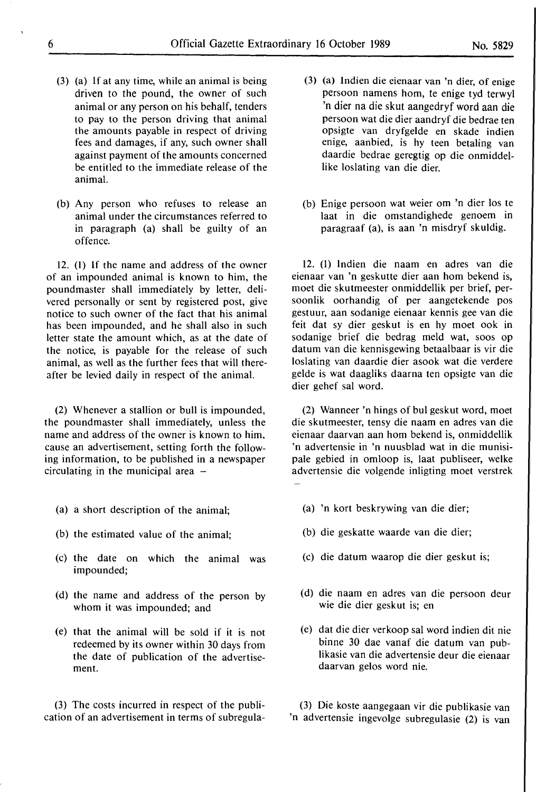- (3) (a) If at any time, while an animal is being driven to the pound, the owner of such animal or any person on his behalf, tenders to pay to the person driving that animal the amounts payable in respect of driving fees and damages, if any, such owner shall against payment of the amounts concerned be entitled to the immediate release of the animal.
- (b) Any person who refuses to release an animal under the circumstances referred to in paragraph (a) shall be guilty of an offence.

12. (I) If the name and address of the owner of an impounded animal is known to him, the poundmaster shall immediately by letter, delivered personally or sent by registered post, give notice to such owner of the fact that his animal has been impounded, and he shall also in such letter state the amount which, as at the date of the notice, is payable for the release of such animal, as well as the further fees that will thereafter be levied daily in respect of the animal.

(2) Whenever a stallion or bull is impounded, the poundmaster shall immediately, unless the name and address of the owner is known to him. cause an advertisement, setting forth the following information, to be published in a newspaper circulating in the municipal area  $-$ 

- (a) a short description of the animal;
- (b) the estimated value of the animal;
- (c) the date on which the animal was impounded;
- (d) the name and address of the person by whom it was impounded; and
- (e) that the animal will be sold if it is not redeemed by its owner within 30 days from the date of publication of the advertisement.

(3) The costs incurred in respect of the publication of an advertisement in terms of subregula-

- (3) (a) lndien die eienaar van 'n dier, of enige persoon namens hom, te enige tyd terwyl 'n dier na die skut aangedryf word aan die persoon wat die dier aandryf die bedrae ten opsigte van dryfgelde en skade indien enige, aanbied, is hy teen betaling van daardie bedrae geregtig op die onmiddellike loslating van die dier.
- (b) Enige persoon wat weier om 'n dier los te laat in die omstandighede genoem in paragraaf (a), is aan 'n misdryf skuldig.

12. (1) lndien die naam en adres van die eienaar van 'n geskutte dier aan horn bekend is, moet die skutmeester onmiddellik per brief, persoonlik oorhandig of per aangetekende pos gestuur, aan sodanige eienaar kennis gee van die feit dat sy dier geskut is en hy moet ook in sodanige brief die bedrag meld wat, soos op datum van die kennisgewing betaalbaar is vir die loslating van daardie dier asook wat die verdere gelde is wat daagliks daarna ten opsigte van die dier gehef sal word.

(2) Wanneer 'n hings of bul geskut word, moet die skutmeester, tensy die naam en adres van die eienaar daarvan aan horn bekend is, onmiddellik 'n advertensie in 'n nuusblad wat in die munisipale gebied in omloop is, laat publiseer, welke advertensie die volgende inligting moet verstrek

- (a) 'n kort beskrywing van die dier;
- (b) die geskatte waarde van die dier;
- (c) die datum waarop die dier geskut is;
- (d) die naam en adres van die persoon deur wie die dier geskut is; en
- (e) dat die dier verkoop sal word indien dit nie binne 30 dae vanaf die datum van publikasie van die advertensie deur die eienaar daarvan gelos word nie.

(3) Die koste aangegaan vir die publikasie van 'n advertensie ingevolge subregulasie (2) is van

 $\cdot$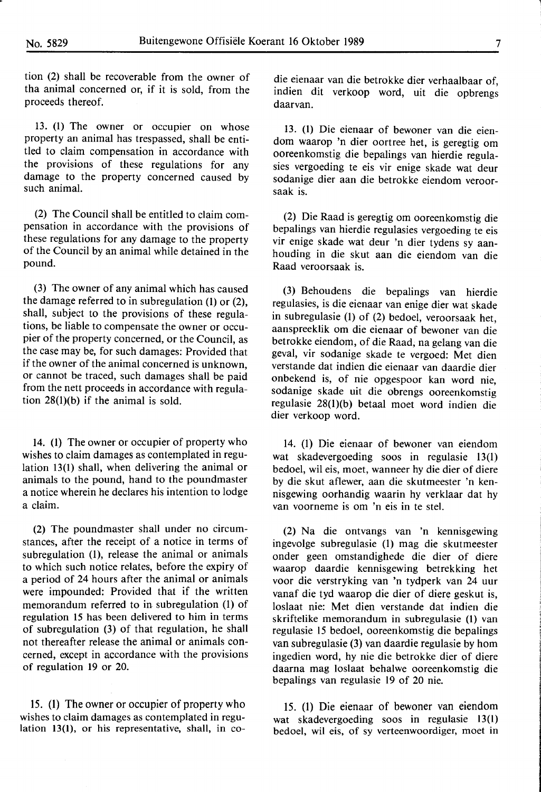tion (2) shall be recoverable from the owner of tha animal concerned or, if it is sold, from the proceeds thereof.

13. (1) The owner or occupier on whose property an animal has trespassed, shall be entitled to claim compensation in accordance with the provisions of these regulations for any damage to the property concerned caused by such animal.

(2) The Council shall be entitled to claim compensation in accordance with the provisions of these regulations for any damage to the property of the Council by an animal while detained in the pound.

(3) The owner of any animal which has caused the damage referred to in subregulation (1) or (2), shall, subject to the provisions of these regulations, be liable to compensate the owner or occupier of the property concerned, or the Council, as the case may be, for such damages: Provided that if the owner of the animal concerned is unknown, or cannot be traced, such damages shall be paid from the nett proceeds in accordance with regulation 28(1)(b) if the animal is sold.

14. (1) The owner or occupier of property who wishes to claim damages as contemplated in regulation 13(1) shall, when delivering the animal or animals to the pound, hand to the poundmaster a notice wherein he declares his intention to lodge a claim.

(2) The poundmaster shall under no circumstances, after the receipt of a notice in terms of subregulation (1), release the animal or animals to which such notice relates, before the expiry of a period of 24 hours after the animal or animals were impounded: Provided that if the written memorandum referred to in subregulation (1) of regulation 15 has been delivered to him in terms of subregulation (3) of that regulation, he shall not thereafter release the animal or animals concerned, except in accordance with the provisions of regulation 19 or 20.

15. (1) The owner or occupier of property who wishes to claim damages as contemplated in regulation 13(1), or his representative, shall, in codie eienaar van die betrokke dier verhaalbaar of, indien dit verkoop word, uit die opbrengs daarvan.

13. (1) Die eienaar of bewoner van die eiendom waarop 'n dier oortree het, is geregtig om ooreenkomstig die bepalings van hierdie regulasies vergoeding te eis vir enige skade wat deur sodanige dier aan die betrokke eiendom veroorsaak is.

(2) Die Raad is geregtig om ooreenkomstig die bepalings van hierdie regulasies vergoeding te eis vir enige skade wat deur 'n dier tydens sy aanhouding in die skut aan die eiendom van die Raad veroorsaak is.

(3) Behoudens die bepalings van hierdie regulasies, is die eienaar van enige dier wat skade in subregulasie (1) of (2) bedoel, veroorsaak het, aanspreeklik om die eienaar of bewoner van die betrokke eiendom, of die Raad, na gelang van die geval, vir sodanige skade te vergoed: Met dien verstande dat indien die eienaar van daardie dier onbekend is, of nie opgespoor kan word nie, sodanige skade uit die obrengs ooreenkomstig regulasie 28(1)(b) betaal moet word indien die dier verkoop word.

14. (1) Die eienaar of bewoner van eiendom wat skadevergoeding soos in regulasie 13(1) bedoel, wil eis, moet, wanneer hy die dier of diere by die skut aflewer, aan die skutmeester 'n kennisgewing oorhandig waarin hy verklaar dat hy van voorneme is om 'n eis in te stel.

(2) Na die ontvangs van 'n kennisgewing ingevolge subregulasie (1) mag die skutmeester onder geen omstandighede die dier of diere waarop daardie kennisgewing betrekking het voor die verstryking van 'n tydperk van 24 uur vanaf die tyd waarop die dier of diere geskut is, loslaat nie: Met dien verstande dat indien die skriftelike memorandum in subregulasie (1) van regulasie 15 bedoel, ooreenkomstig die bepalings van subregulasie (3) van daardie regulasie by horn ingedien word, hy nie die betrokke dier of diere daarna mag loslaat behalwe ooreenkomstig die bepalings van regulasie 19 of 20 nie.

15. (1) Die eienaar of bewoner van eiendom wat skadevergoeding soos in regulasie 13(1) bedoel, wil eis, of sy verteenwoordiger, moet in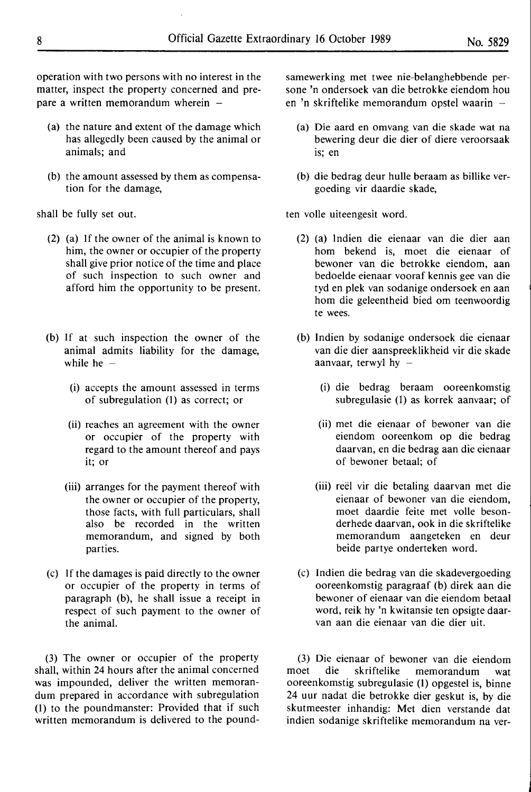operation with two persons with no interest in the matter, inspect the property concerned and prepare a written memorandum wherein  $-$ 

- (a) the nature and extent of the damage which has allegedly been caused by the animal or animals; and
- (b) the amount assessed by them as compensation for the damage,

shall be fully set out.

- (2) (a) If the owner of the animal is known to him, the owner or occupier of the property shall give prior notice of the time and place of such inspection to such owner and afford him the opportunity to be present.
- (b) If at such inspection the owner of the animal admits liability for the damage, while he  $-$ 
	- (i) accepts the amount assessed in terms of subregulation (1) as correct; or
	- (ii) reaches an agreement with the owner or occupier of the property with regard to the amount thereof and pays it; or
	- (iii) arranges for the payment thereof with the owner or occupier of the property, those facts, with full particulars, shall also be recorded in the written memorandum, and signed by both parties.
- (c) If the damages is paid directly to the owner or occupier of the property in terms of paragraph (b), he shall issue a receipt in respect of such payment to the owner of the animal.

(3) The owner or occupier of the property shall, within 24 hours after the animal concerned was impounded, deliver the written memorandum prepared in accordance with subregulation (1) to the poundmanster: Provided that if such written memorandum is delivered to the poundsamewerking met twee nie-belanghebbende persone 'n ondersoek van die betrokke eiendom hou en 'n skriftelike memorandum opstel waarin  $-$ 

- (a) Die aard en omvang van die skade wat na bewering deur die dier of diere veroorsaak is; en
- (b) die bedrag deur hulle beraam as billike vergoeding vir daardie skade,

ten volle uiteengesit word.

- (2) (a) lndien die eienaar van die dier aan horn bekend is, moet die eienaar of bewoner van die betrokke eiendom, aan bedoelde eienaar vooraf kennis gee van die tyd en plek van sodanige ondersoek en aan horn die geleentheid bied om teenwoordig te wees.
- (b) lndien by sodanige ondersoek die eienaar van die dier aanspreeklikheid vir die skade aanvaar, terwyl hy  $-$ 
	- (i) die bedrag beraam ooreenkomstig subregulasie (1) as korrek aanvaar; of
	- (ii) met die eienaar of bewoner van die eiendom ooreenkom op die bedrag daarvan, en die bedrag aan die eienaar of bewoner betaal; of
	- (iii) reel vir die betaling daarvan met die eienaar of bewoner van die eiendom, moet daardie feite met voile besonderhede daarvan, ook in die skriftelike memorandum aangeteken en deur beide partye onderteken word.
- (c) Indien die bedrag van die skadevergoeding ooreenkomstig paragraaf (b) direk aan die bewoner of eienaar van die eiendom betaal word, reik hy 'n kwitansie ten opsigte daarvan aan die eienaar van die dier uit.

(3) Die eienaar of bewoner van die eiendom moet die skriftelike memorandum wat ooreenkomstig subregulasie (1) opgestel is, binne 24 uur nadat die betrokke dier geskut is, by die skutmeester inhandig: Met dien verstande dat indien sodanige skriftelike memorandum na ver-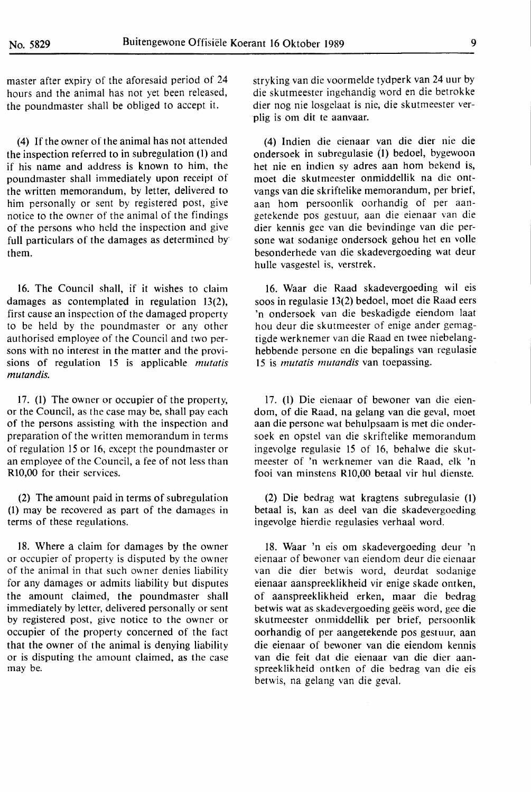master after expiry of the aforesaid period of 24 hours and the animal has not yet been released, the poundmaster shall be obliged to accept it.

(4) If the owner of the animal has not attended the inspection referred to in subregulation (1) and if his name and address is known to him, the poundmaster shall immediately upon receipt of the written memorandum, by letter, delivered to him personally or sent by registered post, give notice to the owner of the animal of the findings of the persons who held the inspection and give full particulars of the damages as determined by them.

16. The Council shall, if it wishes to claim damages as contemplated in regulation 13(2), first cause an inspection of the damaged property to be held by the poundmaster or any other authorised employee of the Council and two persons with no interest in the matter and the provisions of regulation 15 is applicable *mutatis mutandis.* 

17. (1) The owner or occupier of the property, or the Council, as the case may be, shall pay each of the persons assisting with the inspection and preparation of the written memorandum in terms of regulation 15 or 16, except the poundmaster or an employee of the Council, a fee of not less than Rl0,00 for their services.

(2) The amount paid in terms of subregulation (I) may be recovered as part of the damages in terms of these regulations.

18. Where a claim for damages by the owner or occupier of property is disputed by the owner of the animal in that such owner denies liability for any damages or admits liability but disputes the amount claimed, the poundmaster shall immediately by letter, delivered personally or sent by registered post, give notice to the owner or occupier of the property concerned of the fact that the owner of the animal is denying liability or is disputing the amount claimed, as the case may be.

stryking van die voormelde tydperk van 24 uur by die skutmeester ingehandig word en die betrokke dier nog nie losgelaat is nie, die skutmeester verplig is om dit te aanvaar.

(4) Indien die eienaar van die dier nie die ondersoek in subregulasie (I) bedoel, bygewoon het nie en indien sy adres aan hom bekend is, moet die skutmeester onmiddellik na die ontvangs van die skriftelike memorandum, per brief, aan hom persoonlik oorhandig of per aangetekende pos gestuur, aan die eienaar van die dier kennis gee van die bevindinge van die persone wat sodanige ondersoek gehou het en voile besonderhede van die skadevergoeding wat deur hulle vasgestel is, verstrek.

16. Waar die Raad skadevergoeding wil eis soos in regulasie 13(2) bedoel, moet die Raad eers 'n ondersoek van die beskadigde eiendom laat hou deur die skutmeester of enige ander gemagtigde werknemer van die Raad en twee niebelanghebbende persone en die bepalings van regulasie 15 is *mutatis mutandis* van toepassing.

17. (l) Die eienaar of bewoner van die eiendom, of die Raad, na gelang van die geval, moet aan die persone wat behulpsaam is met die ondersoek en opstel van die skriftelike memorandum ingevolge regulasie 15 of 16, behalwe die skutmeester of 'n werknemer van die **Raad,** elk 'n fooi van minstens Rl0,00 betaal vir hul dienste.

(2) Die bedrag wat kragtens subregulasie (I) betaal is, kan as deel van die skadevergoeding ingevolge hierdie regulasies verhaal word.

18. Waar 'n eis om skadevergoeding deur 'n eienaar of bewoner van eiendom deur die eienaar van die dier betwis word, deurdat sodanige eienaar aanspreeklikheid vir enige skade ontken, of aanspreeklikheid erken, maar die bedrag betwis wat as skadevergoeding geëis word, gee die skutmeester onmiddellik per brief, persoonlik oorhandig of per aangetekende pos gestuur, aan die eienaar of bewoner van die eiendom kennis van die feit dat die eienaar van die dier aanspreeklikheid ontken of die bedrag van die eis betwis, na gelang van die geval.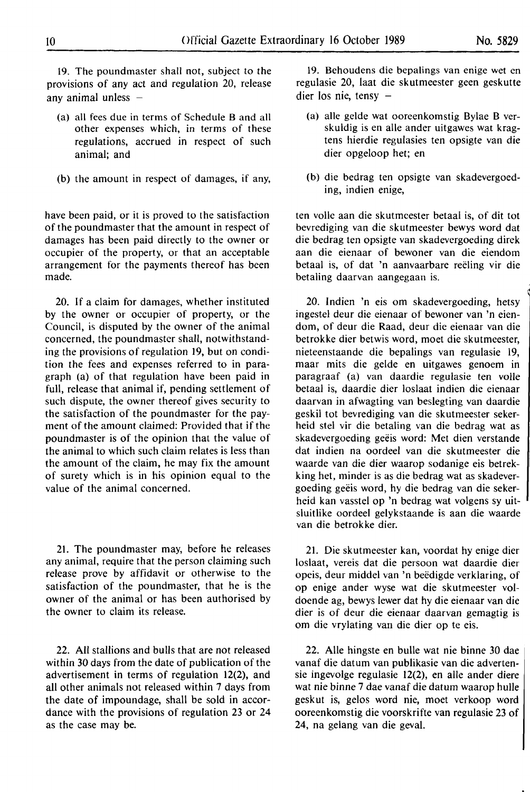19. The poundmaster shall not, subject to the provisions of any act and regulation 20, release any animal unless  $-$ 

- (a) all fees due in terms of Schedule Band all other expenses which, in terms of these regulations, accrued in respect of such animal; and
- (b) the amount in respect of damages, if any,

have been paid, or it is proved to the satisfaction of the poundmaster that the amount in respect of damages has been paid directly to the owner or occupier of the property, or that an acceptable arrangement for the payments thereof has been made.

20. If a claim for damages, whether instituted by the owner or occupier of property, or the Council, is disputed by the owner of the animal concerned, the poundmastcr shall, notwithstanding the provisions of regulation 19, but on condition the fees and expenses referred to in paragraph (a) of that regulation have been paid in full, release that animal if, pending settlement of such dispute, the owner thereof gives security to the satisfaction of the poundmaster for the payment of the amount claimed: Provided that if the poundmaster is of the opinion that the value of the animal to which such claim relates is less than the amount of the claim, he may fix the amount of surety which is in his opinion equal to the value of the animal concerned.

21. The poundmaster may, before he releases any animal, require that the person claiming such release prove by affidavit or otherwise to the satisfaction of the poundmaster, that he is the owner of the animal or has been authorised by the owner to claim its release.

22. All stallions and bulls that are not released within 30 days from the date of publication of the advertisement in terms of regulation 12(2), and all other animals not released within 7 days from the date of impoundage, shall be sold in accordance with the provisions of regulation 23 or 24 as the case may be.

19. Behoudens die bepalings van enige wet en regulasie 20, laat die skutmeester geen geskutte dier los nie, tensy  $-$ 

- (a) alle gelde wat ooreenkomstig Bylae B verskuldig is en alle ander uitgawes wat kragtens hierdie regulasies ten opsigte van die dier opgeloop het; en
- (b) die bedrag ten opsigte van skadevergoeding, indien enige,

ten voile aan die skutmeester betaal is, of dit tot bevrediging van die skutmeester bewys word dat die bedrag ten opsigte van skadevergoeding direk aan die eienaar of bewoner van die eiendom betaal is, of dat 'n aanvaarbare reeling vir die betaling daarvan aangegaan is.

20. lndien 'n eis om skadevergoeding, hetsy ingestel deur die eienaar of bewoner van 'n eiendom, of deur die Raad, deur die eienaar van die betrokke dier betwis word, moet die skutmeester, nieteenstaande die bepalings van regulasie 19, maar mits die gelde en uitgawes genoem in paragraaf (a) van daardie regulasie ten voile betaal is, daardie dier loslaat indien die eienaar daarvan in afwagting van beslegting van daardie geskil tot bevrediging van die skutmeester sekerheid stel vir die betaling van die bedrag wat as skadevergoeding geëis word: Met dien verstande dat indien na oordeel van die skutmeester die waarde van die dier waarop sodanige eis betrekking het, minder is as die bedrag wat as skadevergoeding geeis word, hy die bedrag van die sekerheid kan vasstel op 'n bedrag wat volgens sy uitsluitlike oordeel gelykstaande is aan die waarde van die betrokke dier.

21. Die skutmeester kan, voordat hy enige dier loslaat, vereis dat die persoon wat daardie dier opeis, deur middel van 'n beedigde verklaring, of op enige ander wyse wat die skutmeester voldoende ag, bewys lewer dat hy die eienaar van die dier is of deur die eienaar daarvan gemagtig is om die vrylating van die dier op te eis.

22. Aile hingste en bulle wat nie binne 30 dae vanaf die datum van publikasie van die advertensie ingevolge regulasie 12(2), en alle ander diere wat nie binne 7 dae vanaf die datum waarop hulle geskut is, gelos word nie, moet verkoop word ooreenkomstig die voorskrifte van regulasie 23 of 24, na gelang van die geval.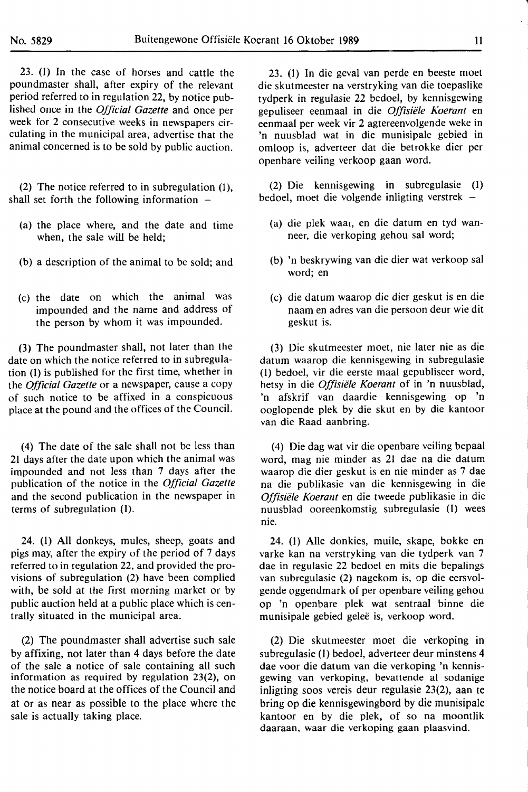23. (I) In the case of horses and cattle the poundmaster shall, after expiry of the relevant period referred to in regulation 22, by notice published once in the *Official Gazette* and once per week for 2 consecutive weeks in newspapers circulating in the municipal area, advertise that the animal concerned is to be sold by public auction.

(2) The notice referred to in subregulation (1), shall set forth the following information  $-$ 

- (a) the place where, and the date and time when, the sale will be held;
- (b) a description of the animal to be sold; and
- (c) the date on which the animal was impounded and the name and address of the person by whom it was impounded.

(3) The poundmaster shall, not later than the date on which the notice referred to in subregulation (I) is published for the first time, whether in the *Official Gazette* or a newspaper, cause a copy of such notice to be affixed in a conspicuous place at the pound and the offices of the Council.

(4) The date of the sale shall not be less than 21 days after the date upon which the animal was impounded and not less than 7 days after the publication of the notice in the *Official Gazette*  and the second publication in the newspaper in terms of subregulation **(I).** 

24. (I) All donkeys, mules, sheep, goats and pigs may, after the expiry of the period of 7 days referred to in regulation 22, and provided the provisions of subregulation (2) have been complied with, be sold at the first morning market or by public auction held at a public place which is centrally situated in the municipal area.

(2) The poundmaster shall advertise such sale by affixing, not later than 4 days before the date of the sale a notice of sale containing all such **information as required by regulation 23(2), on**  the notice board at the offices of the Council and at or as near as possible to the place where the **sale is actually taking place.** 

23. (I) In die geval van perde en beeste moet die skutmeester na verstryking van die toepaslike tydperk in regulasie 22 bedoel, by kennisgewing gepuliseer eenmaal in die *Offisiele Koerant* en eenmaal per week vir 2 agtereenvolgende weke in 'n nuusblad wat in die munisipale gebied in omloop is, adverteer dat die betrokke dier per openbare veiling verkoop gaan word.

(2) Die kennisgewing in subregulasie (1) bedoel, moet die volgende inligting verstrek

- (a) die plek waar, en die datum en tyd wanneer, die verkoping gehou sal word;
- (b) 'n beskrywing van die dier wat verkoop sal word; en
- (c) die datum waarop die dier geskut is en die naam en adres van die persoon deur wie dit geskut is.

(3) Die skutmeester moet, nie later nie as die datum waarop die kennisgewing in subregulasie (1) bedoel, vir die eerste maal gepubliseer word, hetsy in die *Offisiele Koerant* of in 'n nuusblad, 'n afskrif van daardie kennisgewing op 'n ooglopende plek by die skut en by die kantoor van die Raad aanbring.

(4) Die dag wat vir die openbare veiling bepaal word, mag nie minder as 21 dae na die datum waarop die dier geskut is en nie minder as 7 dae na die publikasie van die kennisgewing in die *Offisiele Koerant* en die tweede publikasie in die nuusblad ooreenkomstig subregulasie (I) wees nie.

24. (I) Alie donkies, muile, skape, bokke en varke kan na verstryking van die tydperk van 7 dae in regulasie 22 bedoel en mits die bepalings van subregulasie (2) nagekom is, op die eersvolgende oggendmark of per openbare veiling gehou op 'n openbare plek wat sentraal binne die munisipale gebied gelee is, verkoop word.

(2) Die skutmeester moet die verkoping in subregulasie (I) bedoel, adverteer deur minstens 4 dae voor die datum van die verkoping 'n kennisgewing van verkoping, bevattende al sodanige inligting soos vereis deur regulasie 23(2), aan te bring op die kennisgewingbord by die munisipale kantoor en by die plek, of so na moontlik daaraan, waar die verkoping gaan plaasvind.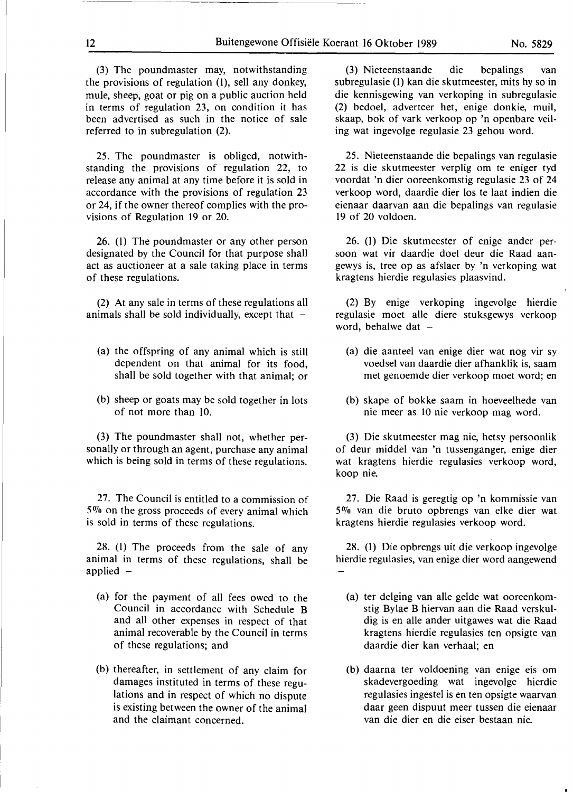(3) The poundmaster may, notwithstanding the provisions of regulation (1), sell any donkey, mule, sheep, goat or pig on a public auction held in terms of regulation 23, on condition it has been advertised as such in the notice of sale referred to in subregulation (2).

25. The poundmaster is obliged, notwithstanding the provisions of regulation 22, to release any animal at any time before it is sold in accordance with the provisions of regulation 23 or 24, if the owner thereof complies with the provisions of Regulation 19 or 20.

26. (l) The poundmaster or any other person designated by the Council for that purpose shall act as auctioneer at a sale taking place in terms of these regulations.

(2) At any sale in terms of these regulations all animals shall be sold individually, except that  $-$ 

- (a) the offspring of any animal which is still dependent on that animal for its food, shall be sold together with that animal; or
- (b) sheep or goats may be sold together in lots of not more than IO.

(3) The poundmaster shall not, whether personally or through an agent, purchase any animal which is being sold in terms of these regulations.

27. The Council is entitled to a commission of 5% on the gross proceeds of every animal which is sold in terms of these regulations.

28. (1) The proceeds from the sale of any animal in terms of these regulations, shall be applied  $-$ 

- (a) for the payment of all fees owed to the Council in accordance with Schedule B and all other expenses in respect of that animal recoverable by the Council in terms of these regulations; and
- (b) thereafter, in settlement of any claim for damages instituted in terms of these regulations and in respect of which no dispute is existing between the owner of the animal and the claimant concerned.

(3) Nieteenstaande die bepalings van subregulasie (1) kan die skutmeester, mits hy so in die kennisgewing van verkoping in subregulasie (2) bedoel, adverteer het, enige donkie, muil, skaap, bok of vark verkoop op 'n openbare veiling wat ingevolge regulasie 23 gehou word.

25. Nieteenstaande die bepalings van regulasie 22 is die skutmeester verplig om te eniger tyd voordat 'n dier ooreenkomstig regulasie 23 of 24 verkoop word, daardie dier los te laat indien die eienaar daarvan aan die bepalings van regulasie 19 of 20 voldoen.

26. (l) Die skutmeester of enige ander persoon wat vir daardie doel deur die Raad aangewys is, tree op as afslaer by 'n verkoping wat kragtens hierdie regulasies plaasvind.

(2) By enige verkoping ingevolge hierdie regulasie moet alle diere stuksgewys verkoop word, behalwe dat  $-$ 

- (a) die aanteel van enige dier wat nog vir sy voedsel van daardie dier afhanklik is, saam met genoemde dier verkoop moet word; en
- (b) skape of bokke saam in hoeveelhede van nie meer as 10 nie verkoop mag word.

(3) Die skutmeester mag nie, hetsy persoonlik of deur middel van 'n tussenganger, enige dier wat kragtens hierdie regulasies verkoop word, koop nie.

27. Die Raad is geregtig op 'n kommissie van 5% van die bruto opbrengs van elke dier wat kragtens hierdie regulasies verkoop word.

28. (1) Die opbrengs uit die verkoop ingevolge hierdie regulasies, van enige dier word aangewend

- (a) ter delging van alle gelde wat ooreenkomstig Bylae B hiervan aan die Raad verskuldig is en alle ander uitgawes wat die Raad kragtens hierdie regulasies ten opsigte van daardie dier kan verhaal; en
- (b) daarna ter voldoening van enige eis om skadevergoeding wat ingevolge hierdie regulasies ingestel is en ten opsigte waarvan daar geen dispuut meer tussen die eienaar van die dier en die eiser bestaan nie.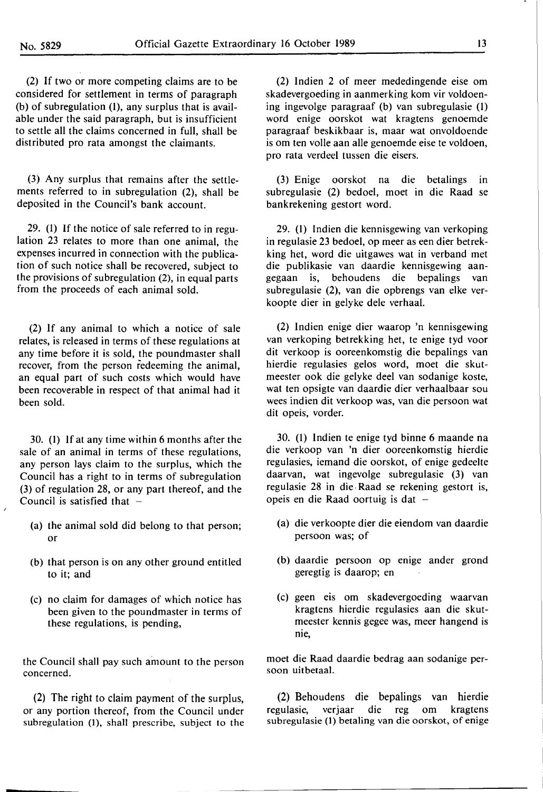(2) If two or more competing claims are to be considered for settlement in terms of paragraph (b) of subregulation (I), any surplus that is available under the said paragraph, but is insufficient to settle all the claims concerned in full, shall be distributed pro rata amongst the claimants.

(3) Any surplus that remains after the settlements referred to in subregulation (2), shall be deposited in the Council's bank account.

29. (I) If the notice of sale referred to in regulation 23 relates to more than one animal, the expenses incurred in connection with the publication of such notice shall be recovered, subject to the provisions of subregulation (2), in equal parts from the proceeds of each animal sold.

(2) If any animal to which a notice of sale relates, is released in terms of these regulations at any time before it is sold, the poundmaster shall recover, from the person redeeming the animal, an equal part of such costs which would have been recoverable in respect of that animal had it been sold.

30. (I) If at any time within 6 months after the sale of an animal in terms of these regulations, any person lays claim to the surplus, which the Council has a right to in terms of subregulation (3) of regulation 28, or any part thereof, and the Council is satisfied that  $-$ 

- (a) the animal sold did belong to that person; or
- (b) that person is on any other ground entitled to it; and
- (c) no claim for damages of which notice has been given to the poundmaster in terms of these regulations, is pending,

the Council shall pay such amount to the person concerned.

(2) The right to claim payment of the surplus, or any portion thereof, from the Council under subregulation (1), shall prescribe, subject to the

(2) lndien 2 of meer mededingende eise om skadevergoeding in aanmerking kom vir voldoening ingevolge paragraaf (b) van subregulasie (I) word enige oorskot wat kragtens genoemde paragraaf beskikbaar is, maar wat onvoldoende is om ten voile aan alle genoemde eise te voldoen, pro rata verdeel tussen die eisers.

(3) Enige oorskot na die betalings in subregulasie (2) bedoel, moet in die Raad se bankrekening gestort word.

29. (I) Indien die kennisgewing van verkoping in regulasie 23 bedoel, op meer as een dier betrekking het, word die uitgawes wat in verband met die publikasie van daardie kennisgewing aangegaan is, behoudens die bepalings van subregulasie (2), van die opbrengs van elke verkoopte dier in gelyke dele verhaal.

(2) lndien enige dier waarop 'n kennisgewing van verkoping betrekking het, te enige tyd voor dit verkoop is ooreenkomstig die bepalings van hierdie regulasies gelos word, moet die skutmeester ook die gelyke deel van sodanige koste, wat ten opsigte van daardie dier verhaalbaar sou wees indien dit verkoop was, van die persoon wat dit opeis, vorder.

30. (I) lndien te enige tyd binne 6 maande na die verkoop van 'n dier ooreenkomstig hierdie regulasies, iemand die oorskot, of enige gedeelte daarvan, wat ingevolge subregulasie (3) van regulasie 28 in die, Raad se rekening gestort is, opeis en die Raad oortuig is dat  $-$ 

- (a) die verkoopte dier die eiendom van daardie persoon was; of
- (b) daardie persoon op enige ander grond geregtig is daarop; en
- (c) geen eis om skadevergoeding waarvan kragtens hierdie regulasies aan die skutmeester kennis gegee was, meer hangend is nie,

moet die Raad daardie bedrag aan sodanige persoon uitbetaal.

(2) Behoudens die bepalings van hierdie regulasie, verjaar die reg om kragtens subregulasie (I) betaling van die oorskot, of enige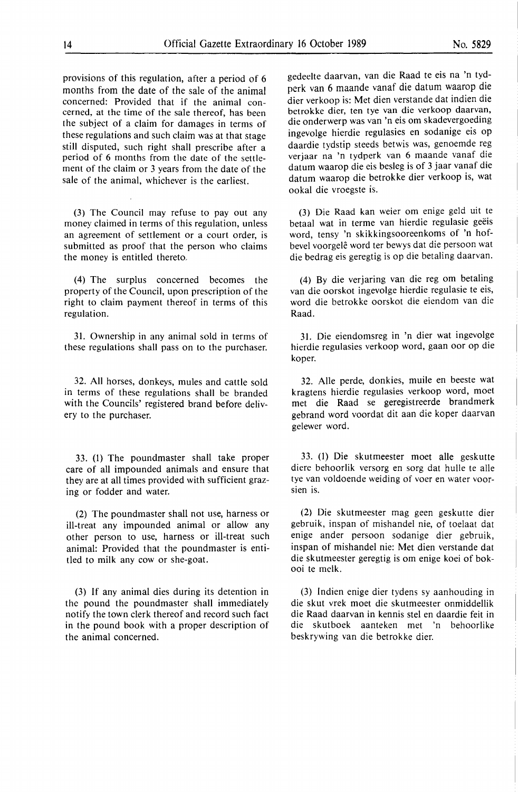provisions of this regulation, after a period of 6 months from the date of the sale of the animal concerned: Provided that if the **animal** concerned, at the time of the sale thereof, has been the subject of a claim for damages in terms of these regulations and such claim was at that stage still disputed, such right shall prescribe after a period of **6** months from **the** date of **the** settlement of the claim or 3 years from the date of the sale of the animal, whichever is the earliest.

**(3)** The Council may refuse to pay out any money claimed in terms of this regulation, unless an agreement of settlement or a court order, is submitted as proof that the person who claims the money is entitled thereto.

(4) The surplus concerned becomes the property of the Council, upon prescription of the right to claim payment thereof in terms of this regulation.

31. Ownership in any animal sold in terms of these regulations shall pass on to the purchaser.

32. All horses, donkeys, mules and cattle sold in terms of these regulations shall be branded with the Councils' registered brand before delivery to the purchaser.

33. (1) The poundmaster shall take proper care of all impounded animals and ensure that they are at all times provided with sufficient grazing or fodder and water.

(2) The poundmaster shall not use, harness or ill-treat any impounded animal or allow any other person to use, harness or ill-treat such animal: Provided that the poundmaster is entitled to milk any cow or she-goat.

(3) If any animal dies during **its** detention in the pound the poundmaster shall immediately notify the town clerk thereof and record such fact in the pound book with a proper description **of**  the animal concerned.

gedeelte daarvan, van die Raad te eis na 'n tydperk van 6 maande vanaf die datum waarop die dier ver koop is: Met dien verstande dat indien die betrokke dier, ten tye van die verkoop daarvan, die onderwerp was van 'n eis om skadevergoeding ingevolge hierdie regulasies en sodanige eis op daardie tydstip steeds betwis was, genoemde reg verjaar na 'n tydperk van 6 maande vanaf die datum waarop die eis besleg is of 3 jaar vanaf die datum waarop die betrokke dier verkoop is, wat ookal die vroegste is.

(3) Die Raad kan weier om enige geld uit te betaal wat in terme van hierdie regulasie geëis word, tensy 'n skikkingsooreenkoms of 'n hofbevel voorgelê word ter bewys dat die persoon wat die bedrag eis geregtig is op die betaling daarvan.

(4) By die verjaring van die reg om betaling van die oorskot ingevolge hierdie regulasie te eis, word die betrokke oorskot die eiendom van die Raad.

31. Die eiendomsreg in 'n dier wat ingevolge hierdie regulasies verkoop word, gaan oor op die koper.

32. Aile perde, donkies, muile en beeste wat kragtens hierdie regulasies verkoop word, moct met die Raad se geregistreerde brandmerk gebrand word voordat dit aan die koper daarvan gelewer word.

33. (I) Die skutmeester moet alle geskutte diere behoorlik versorg en sorg dat hulle te alle tye van voldoende weiding of voer en water voorsien is.

(2) Die skutmeester mag geen geskutte dier gebruik, inspan of mishandel nie, of toelaat dat enige ander persoon sodanige dier gebruik, inspan of mishandel nie: Met dien verstande dat die skutmeester geregtig is om enige koei of bokooi te melk.

(3) Indien enige dier tydens sy aanhouding in die skut vrek moet die skutmeester onmiddellik die Raad daarvan in kennis stel en daardic feit in die skutboek aanteken met 'n behoorlike beskrywing van die betrokke dier.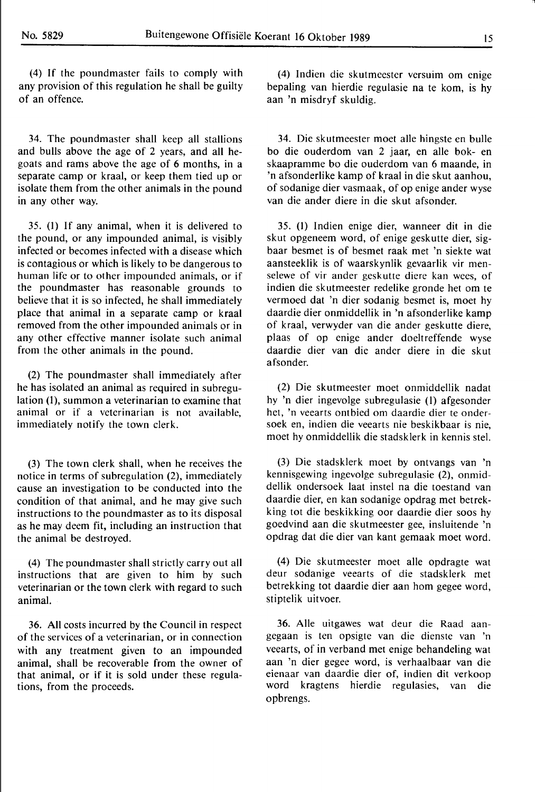(4) If the poundmaster fails to comply with any provision of this regulation he shall be guilty of an offence.

34. The poundmaster shall keep all stallions and bulls above the age of 2 years, and all hegoats and rams above the age of 6 months, in a separate camp or kraal, or keep them tied up or isolate them from the other animals in the pound in any other way.

35. (1) If any animal, when it is delivered to the pound, or any impounded animal, is visibly infected or becomes infected with a disease which is contagious or which is likely to be dangerous to human life or to other impounded animals, or if the poundmaster has reasonable grounds to believe that it is so infected, he shall immediately place that animal in a separate camp or kraal removed from the other impounded animals or in any other effective manner isolate such animal from the other animals in the pound.

(2) The poundmaster shall immediately after he has isolated an animal as required in subregulation (1), summon a veterinarian to examine that animal or if a veterinarian is not available, immediately notify the town clerk.

(3) The town clerk shall, when he receives the notice in terms of subregulation (2), immediately cause an investigation to be conducted into the condition of that animal, and he may give such instructions to the poundmaster as to its disposal as he may deem fit, including an instruction that the animal be destroyed.

(4) The poundmaster shall strictly carry out all instructions that are given to him by such veterinarian or the town clerk with regard to such animal.

36. All costs incurred by the Council in respect of the services of a veterinarian, or in connection with any treatment given to an impounded animal, shall be recoverable from the owner of that animal, or if it is sold under these regulations, from the proceeds.

(4) lndien die skutmeester versuim om enige bepaling van hierdie regulasie na te kom, is hy aan 'n misdryf skuldig.

34. Die skutmeester moet alle hingste en bulle bo die ouderdom van 2 jaar, en alle bok- en skaapramme bo die ouderdom van 6 maande, in 'n afsonderlike kamp of kraal in die skut aanhou, of sodanige dier vasmaak, of op enige ander wyse van die ander diere in die skut afsonder.

35. (1) lndien enige dier, wanneer dit in die skut opgeneem word, of enige geskutte dier, sigbaar besmet is of besmet raak met 'n siekte wat aansteeklik is of waarskynlik gevaarlik vir menselewe of vir ander geskutte diere kan wees, of indien die skutmeester redelike gronde het om te vermoed dat 'n dier sodanig besmet is, moet hy daardie dier onmiddellik in 'n afsonderlike kamp of kraal, verwyder van die ander geskutte diere, plaas of op enige ander doeltreffende wyse daardie dier van die ander diere in die skut afsonder.

(2) Die skutmeester moet onmiddellik nadat hy 'n dier ingevolge subregulasie (l) afgesonder het, 'n veearts ontbied om daardie dier te ondersoek en, indien die veearts nie beskikbaar is nie, moet hy onmiddellik die stadsklerk in kennis stel.

(3) Die stadsklerk moet by ontvangs van 'n kennisgewing ingevolge subregulasie (2), onmiddellik ondersoek laat instel na die toestand van daardie dier, en kan sodanige opdrag met betrekking tot die beskikking oor daardie dier soos hy goedvind aan die skutmeester gee, insluitende 'n opdrag dat die dier van kant gemaak moet word.

(4) Die skutmeester moet alle opdragte wat deur sodanige veearts of die stadsklerk met betrekking tot daardie dier aan hom gegee word, stiptelik uitvoer.

**36.** Alie uitgawes wat deur die Raad aangegaan is ten opsigte van die dienste van 'n veearts, of in verband met enige behandeling wat aan 'n dier gegee word, is verhaalbaar van die eienaar van daardie dier of, indien dit verkoop word kragtens hierdie regulasies, van die opbrengs.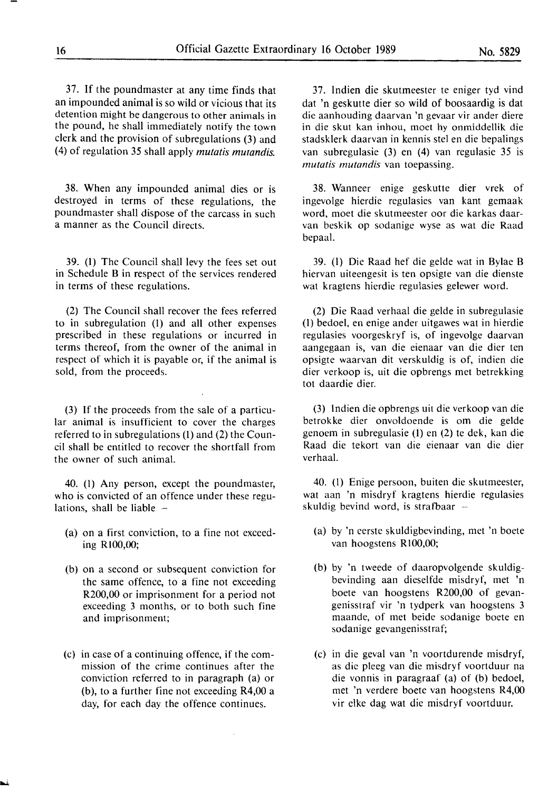37. If the poundmaster at any time finds that an impounded animal is so wild or vicious that its detention might be dangerous to other animals in the pound, he shall immediately notify the town clerk and the provision of subregulations (3) and (4) of regulation 35 shall apply *mutatis mutandis.* 

38. When any impounded animal dies or is destroyed in terms of these regulations, the poundmaster shall dispose of the carcass in such a manner as the Council directs.

39. (1) The Council shall levy the fees set out in Schedule B in respect of the services rendered in terms of these regulations.

(2) The Council shall recover the fees referred to in subregulation (1) and all other expenses prescribed in these regulations or incurred in terms thereof, from the owner of the animal in respect of which it is payable or, if the animal is sold, from the proceeds.

(3) If the proceeds from the sale of a particular animal is insufficient to cover the charges referred to in subregulations (1) and (2) the Council shall be entitled to recover the shortfall from the owner of such animal.

40. (I) Any person, except the poundmaster, who is convicted of an offence under these regulations, shall be liable  $-$ 

- (a) on a first conviction, to a fine not exceeding Rl00,00;
- (b) on a second or subsequent conviction for the same offence, to a fine not exceeding R200,00 or imprisonment for a period not exceeding 3 months, or to both such fine and imprisonment;
- (c) in case of a continuing offence, if the commission of the crime continues after the conviction referred to in paragraph (a) or (b), to a further fine not exceeding R4,00 a day, for each day the offence continues.

37. lndien die skutmeester te eniger tyd vind dat 'n geskutte dier so wild of boosaardig is dat die aanhouding daarvan 'n gevaar vir ander diere in die skut kan inhou, moet hy onmiddellik die stadsklerk daarvan in kennis stel en die bepalings van subregulasie (3) en (4) van regulasie 35 is *mutatis mutandis* van toepassing.

38. Wanneer enige geskutte dier vrek of ingevolge hierdie regulasies van kant gemaak word, moet die skutmeester oor die karkas daarvan beskik op sodanige wyse as wat die Raad bepaal.

39. (1) Die Raad hef die gelde wat in Bylae B hiervan uiteengesit is ten opsigte van die dienste wat kragtens hierdie regulasies gelewer word.

(2) Die Raad verhaal die gelde in subregulasie (I) bedoel, en enige ander uitgawes wat in hierdie regulasies voorgeskryf is, of ingevolge daarvan aangegaan is, van die eienaar van die dier ten opsigte waarvan dit verskuldig is of, indien die dier verkoop is, uit die opbrengs met betrekking tot daardie dier.

(3) lndien die opbrengs uit die verkoop van die betrokke dier onvoldoende is om die gelde genoem in subregulasie (I) en (2) te dek, kan die Raad die tekort van die eienaar van die dier verhaal.

40. (I) Enige persoon, buiten die skutmeester, wat aan 'n misdryf kragtens hierdie regulasies skuldig bevind word, is strafbaar  $-$ 

- (a) by 'n eerste skuldigbevinding, met 'n boete van hoogstens RI00,00;
- (b) by 'n tweede of daaropvolgende skuldigbevinding aan dieselfde misdryf, met 'n boete van hoogstens R200,00 of gevangenisstraf vir 'n tydperk van hoogstens 3 maande, of met beide sodanige boete en sodanige gevangenisstraf;
- (c) in die geval van 'n voortdurende misdryf, as die pleeg van die misdryf voortduur na die vonnis in paragraaf (a) of (b) bedoel, met 'n verdere boete van hoogstens R4,00 vir elke dag wat die misdryf voortduur.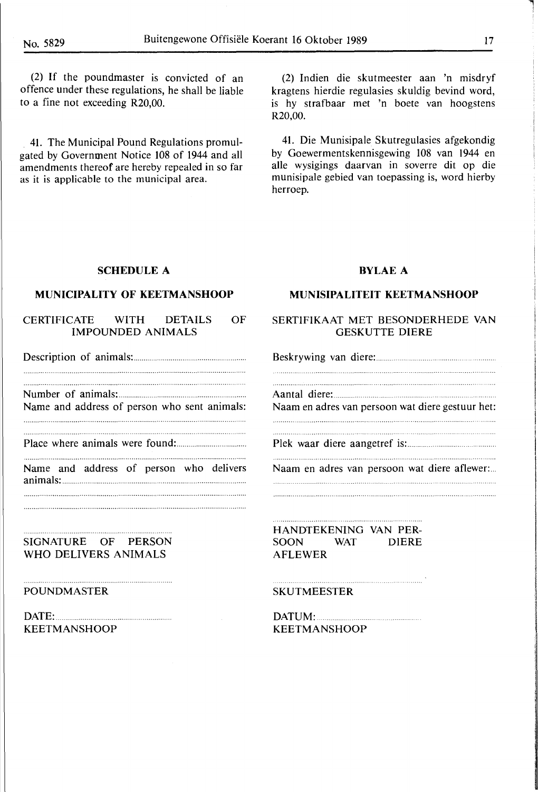(2) If the poundmaster is convicted of an offence under these regulations, he shall be liable to a fine not exceeding R20,00.

. 41. The Municipal Pound Regulations promulgated by Government Notice 108 of 1944 and all amendments thereof are hereby repealed in so far as it is applicable to the municipal area.

(2) lndien die skutmeester aan 'n misdryf kragtens hierdie regulasies skuldig bevind word, is hy strafbaar met 'n boete van hoogstens R20,00.

41. Die Munisipale Skutregulasies afgekondig by Goewermentskennisgewing 108 van 1944 en alle wysigings daarvan in soverre dit op die munisipale gebied van toepassing is, word hierby herroep.

### **SCHEDULE A**

# **MUNICIPALITY OF KEETMANSHOOP**

#### CERTIFICATE WITH DETAILS OF **IMPOUNDED ANIMALS**

Description of animals: ......................................... . 

Number of animals: ......................................................... .

Name and address of person who sent animals: 

Place where animals were found: ................................... .

Name and address of person who delivers animals: ............................................................................................ . 

**SIGNATURE OF PERSON WHO DELIVERS ANIMALS** 

#### **POUND MASTER**

**DATE: ................................. . KEETMANSHOOP** 

## **BYLAE A**

#### **MUNISIPALITEIT KEETMANSHOOP**

#### SERTIFIKAAT MET BESONDERHEDE VAN GESKUTTE DIERE

Beskrywing van diere: ..... .

Aantal diere:

Naam en adres van persoon wat diere gestuur het: 

Piek waar di ere aangetref is: ..

Naam en adres van persoon wat diere aflewer:...

**HANDTEKENING VAN PER-**SOON WAT DIERE **AFLEWER** 

#### **SKUTMEESTER**

**DATUM: .. KEETMANSHOOP** 

l